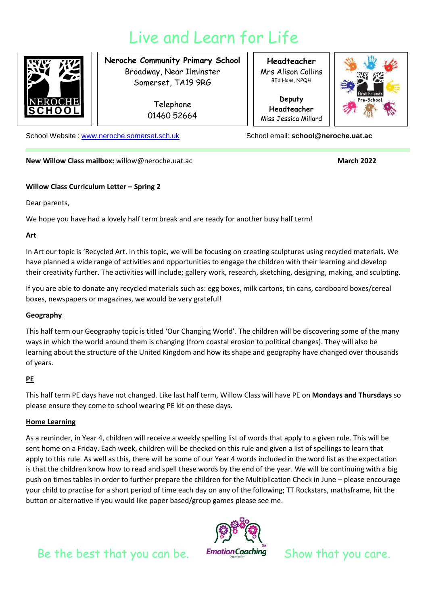# Live and Learn for Life



**Neroche Community Primary School** Broadway, Near Ilminster Somerset, TA19 9RG

> Telephone 01460 52664

**Headteacher** Mrs Alison Collins BEd Hons, NPQH

**Deputy Headteacher** Miss Jessica Millard



School Website : [www.neroche.somerset.sch.uk](http://www.neroche.somerset.sch.uk/) School email: **school@neroche.uat.ac** 

**New Willow Class mailbox:** willow@neroche.uat.ac **March 2022 March 2022** 

#### **Willow Class Curriculum Letter – Spring 2**

Dear parents,

We hope you have had a lovely half term break and are ready for another busy half term!

### **Art**

In Art our topic is 'Recycled Art. In this topic, we will be focusing on creating sculptures using recycled materials. We have planned a wide range of activities and opportunities to engage the children with their learning and develop their creativity further. The activities will include; gallery work, research, sketching, designing, making, and sculpting.

If you are able to donate any recycled materials such as: egg boxes, milk cartons, tin cans, cardboard boxes/cereal boxes, newspapers or magazines, we would be very grateful!

#### **Geography**

This half term our Geography topic is titled 'Our Changing World'. The children will be discovering some of the many ways in which the world around them is changing (from coastal erosion to political changes). They will also be learning about the structure of the United Kingdom and how its shape and geography have changed over thousands of years.

## **PE**

This half term PE days have not changed. Like last half term, Willow Class will have PE on **Mondays and Thursdays** so please ensure they come to school wearing PE kit on these days.

## **Home Learning**

As a reminder, in Year 4, children will receive a weekly spelling list of words that apply to a given rule. This will be sent home on a Friday. Each week, children will be checked on this rule and given a list of spellings to learn that apply to this rule. As well as this, there will be some of our Year 4 words included in the word list as the expectation is that the children know how to read and spell these words by the end of the year. We will be continuing with a big push on times tables in order to further prepare the children for the Multiplication Check in June – please encourage your child to practise for a short period of time each day on any of the following; TT Rockstars, mathsframe, hit the button or alternative if you would like paper based/group games please see me.



Be the best that you can be. Emotion Coaching Show that you care.